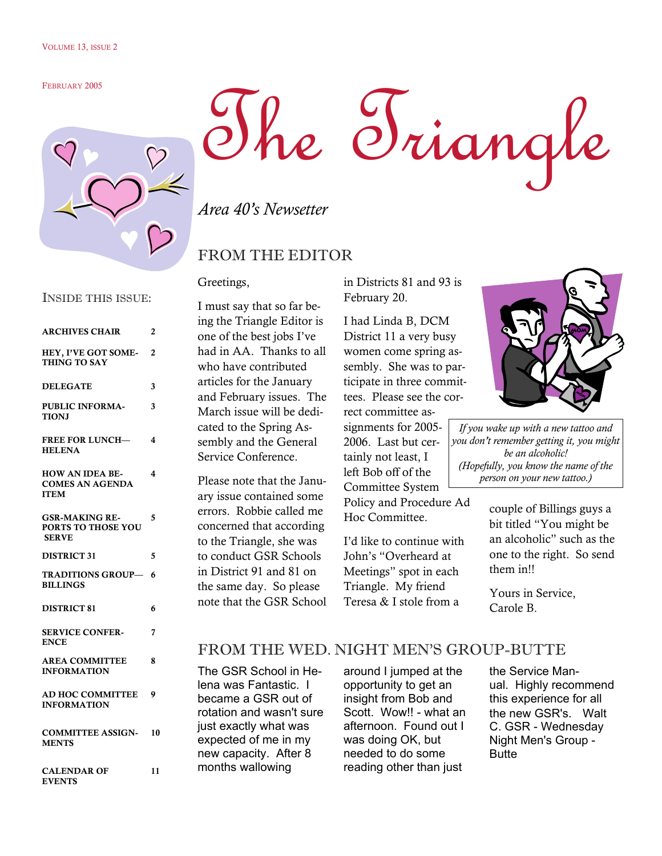#### FEBRUARY 2005



# The Triangle

*Area 40's Newsetter* 

### FROM THE EDITOR

Greetings,

| 2                             |
|-------------------------------|
| $\overline{c}$                |
| 3                             |
| 3                             |
| $\overline{\mathbf{4}}$       |
| 4                             |
| 5                             |
| 5                             |
| <b>TRADITIONS GROUP—</b><br>6 |
| 6                             |
| 7                             |
| 8                             |
| 9                             |
| 10                            |
|                               |

CALENDAR OF EVENTS 11 I must say that so far being the Triangle Editor is one of the best jobs I've had in AA. Thanks to all who have contributed articles for the January and February issues. The March issue will be dedicated to the Spring Assembly and the General Service Conference.

Please note that the January issue contained some errors. Robbie called me concerned that according to the Triangle, she was to conduct GSR Schools in District 91 and 81 on the same day. So please note that the GSR School in Districts 81 and 93 is February 20.

I had Linda B, DCM District 11 a very busy women come spring assembly. She was to participate in three committees. Please see the cor-

rect committee assignments for 2005- 2006. Last but certainly not least, I left Bob off of the Committee System Policy and Procedure Ad Hoc Committee.

I'd like to continue with John's "Overheard at Meetings" spot in each Triangle. My friend Teresa & I stole from a



*If you wake up with a new tattoo and you don't remember getting it, you might be an alcoholic! (Hopefully, you know the name of the person on your new tattoo.)* 

> couple of Billings guys a bit titled "You might be an alcoholic" such as the one to the right. So send them in!!

Yours in Service, Carole B.

## FROM THE WED. NIGHT MEN'S GROUP-BUTTE

The GSR School in Helena was Fantastic. I became a GSR out of rotation and wasn't sure just exactly what was expected of me in my new capacity. After 8 months wallowing

around I jumped at the opportunity to get an insight from Bob and Scott. Wow!! - what an afternoon. Found out I was doing OK, but needed to do some reading other than just

the Service Manual. Highly recommend this experience for all the new GSR's. Walt C. GSR - Wednesday Night Men's Group - **Butte** 

#### INSIDE THIS ISSUE: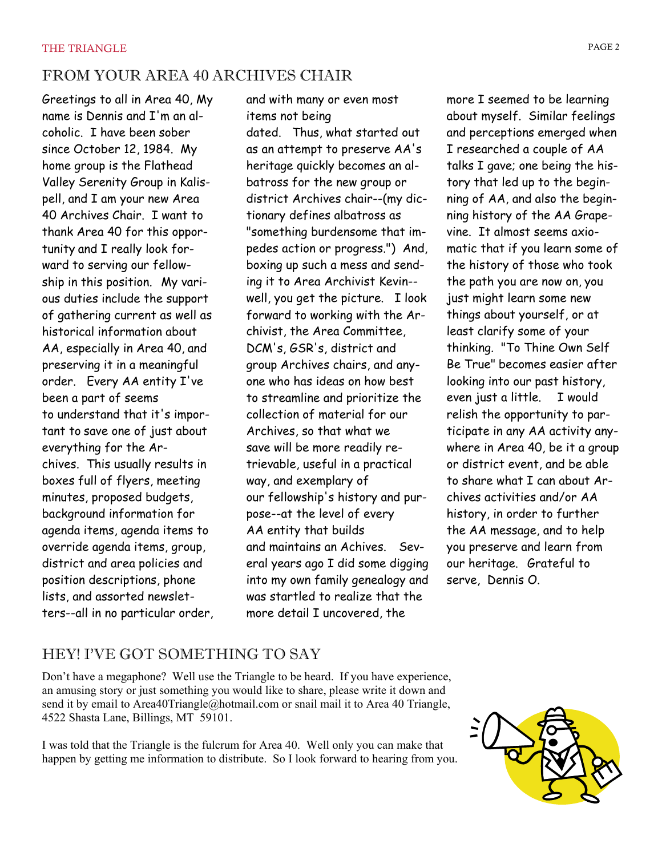# FROM YOUR AREA 40 ARCHIVES CHAIR

Greetings to all in Area 40, My name is Dennis and I'm an alcoholic. I have been sober since October 12, 1984. My home group is the Flathead Valley Serenity Group in Kalispell, and I am your new Area 40 Archives Chair. I want to thank Area 40 for this opportunity and I really look forward to serving our fellowship in this position. My various duties include the support of gathering current as well as historical information about AA, especially in Area 40, and preserving it in a meaningful order. Every AA entity I've been a part of seems to understand that it's important to save one of just about everything for the Archives. This usually results in boxes full of flyers, meeting minutes, proposed budgets, background information for agenda items, agenda items to override agenda items, group, district and area policies and position descriptions, phone lists, and assorted newsletters--all in no particular order, and with many or even most items not being

dated. Thus, what started out as an attempt to preserve AA's heritage quickly becomes an albatross for the new group or district Archives chair--(my dictionary defines albatross as "something burdensome that impedes action or progress.") And, boxing up such a mess and sending it to Area Archivist Kevin- well, you get the picture. I look forward to working with the Archivist, the Area Committee, DCM's, GSR's, district and group Archives chairs, and anyone who has ideas on how best to streamline and prioritize the collection of material for our Archives, so that what we save will be more readily retrievable, useful in a practical way, and exemplary of our fellowship's history and purpose--at the level of every AA entity that builds and maintains an Achives. Several years ago I did some digging into my own family genealogy and was startled to realize that the more detail I uncovered, the

more I seemed to be learning about myself. Similar feelings and perceptions emerged when I researched a couple of AA talks I gave; one being the history that led up to the beginning of AA, and also the beginning history of the AA Grapevine. It almost seems axiomatic that if you learn some of the history of those who took the path you are now on, you just might learn some new things about yourself, or at least clarify some of your thinking. "To Thine Own Self Be True" becomes easier after looking into our past history, even just a little. I would relish the opportunity to participate in any AA activity anywhere in Area 40, be it a group or district event, and be able to share what I can about Archives activities and/or AA history, in order to further the AA message, and to help you preserve and learn from our heritage. Grateful to serve, Dennis O.

# HEY! I'VE GOT SOMETHING TO SAY

Don't have a megaphone? Well use the Triangle to be heard. If you have experience, an amusing story or just something you would like to share, please write it down and send it by email to Area40Triangle@hotmail.com or snail mail it to Area 40 Triangle, 4522 Shasta Lane, Billings, MT 59101.

I was told that the Triangle is the fulcrum for Area 40. Well only you can make that happen by getting me information to distribute. So I look forward to hearing from you.

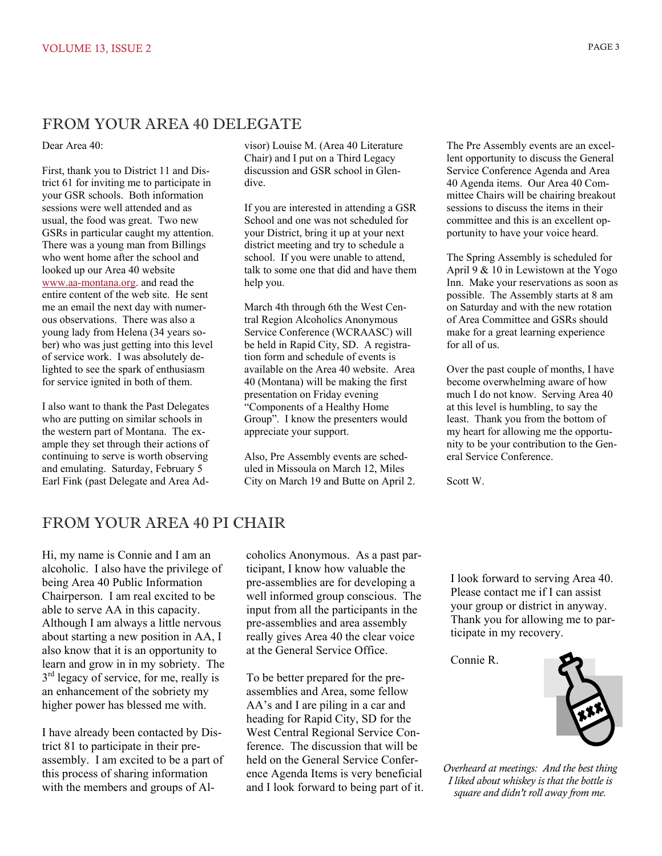#### FROM YOUR AREA 40 DELEGATE

Dear Area 40:

First, thank you to District 11 and District 61 for inviting me to participate in your GSR schools. Both information sessions were well attended and as usual, the food was great. Two new GSRs in particular caught my attention. There was a young man from Billings who went home after the school and looked up our Area 40 website [www.aa-montana.org](http://www.aa-montana.org/). and read the entire content of the web site. He sent me an email the next day with numerous observations. There was also a young lady from Helena (34 years sober) who was just getting into this level of service work. I was absolutely delighted to see the spark of enthusiasm for service ignited in both of them.

I also want to thank the Past Delegates who are putting on similar schools in the western part of Montana. The example they set through their actions of continuing to serve is worth observing and emulating. Saturday, February 5 Earl Fink (past Delegate and Area Ad-

visor) Louise M. (Area 40 Literature Chair) and I put on a Third Legacy discussion and GSR school in Glendive.

If you are interested in attending a GSR School and one was not scheduled for your District, bring it up at your next district meeting and try to schedule a school. If you were unable to attend, talk to some one that did and have them help you.

March 4th through 6th the West Central Region Alcoholics Anonymous Service Conference (WCRAASC) will be held in Rapid City, SD. A registration form and schedule of events is available on the Area 40 website. Area 40 (Montana) will be making the first presentation on Friday evening "Components of a Healthy Home Group". I know the presenters would appreciate your support.

Also, Pre Assembly events are scheduled in Missoula on March 12, Miles City on March 19 and Butte on April 2.

The Pre Assembly events are an excellent opportunity to discuss the General Service Conference Agenda and Area 40 Agenda items. Our Area 40 Committee Chairs will be chairing breakout sessions to discuss the items in their committee and this is an excellent opportunity to have your voice heard.

The Spring Assembly is scheduled for April 9 & 10 in Lewistown at the Yogo Inn. Make your reservations as soon as possible. The Assembly starts at 8 am on Saturday and with the new rotation of Area Committee and GSRs should make for a great learning experience for all of us.

Over the past couple of months, I have become overwhelming aware of how much I do not know. Serving Area 40 at this level is humbling, to say the least. Thank you from the bottom of my heart for allowing me the opportunity to be your contribution to the General Service Conference.

Scott W.

#### FROM YOUR AREA 40 PI CHAIR

Hi, my name is Connie and I am an alcoholic. I also have the privilege of being Area 40 Public Information Chairperson. I am real excited to be able to serve AA in this capacity. Although I am always a little nervous about starting a new position in AA, I also know that it is an opportunity to learn and grow in in my sobriety. The  $3<sup>rd</sup>$  legacy of service, for me, really is an enhancement of the sobriety my higher power has blessed me with.

I have already been contacted by District 81 to participate in their preassembly. I am excited to be a part of this process of sharing information with the members and groups of Al-

coholics Anonymous. As a past participant, I know how valuable the pre-assemblies are for developing a well informed group conscious. The input from all the participants in the pre-assemblies and area assembly really gives Area 40 the clear voice at the General Service Office.

To be better prepared for the preassemblies and Area, some fellow AA's and I are piling in a car and heading for Rapid City, SD for the West Central Regional Service Conference. The discussion that will be held on the General Service Conference Agenda Items is very beneficial and I look forward to being part of it. I look forward to serving Area 40. Please contact me if I can assist your group or district in anyway. Thank you for allowing me to participate in my recovery.

Connie R.



*Overheard at meetings: And the best thing I liked about whiskey is that the bottle is square and didn't roll away from me.*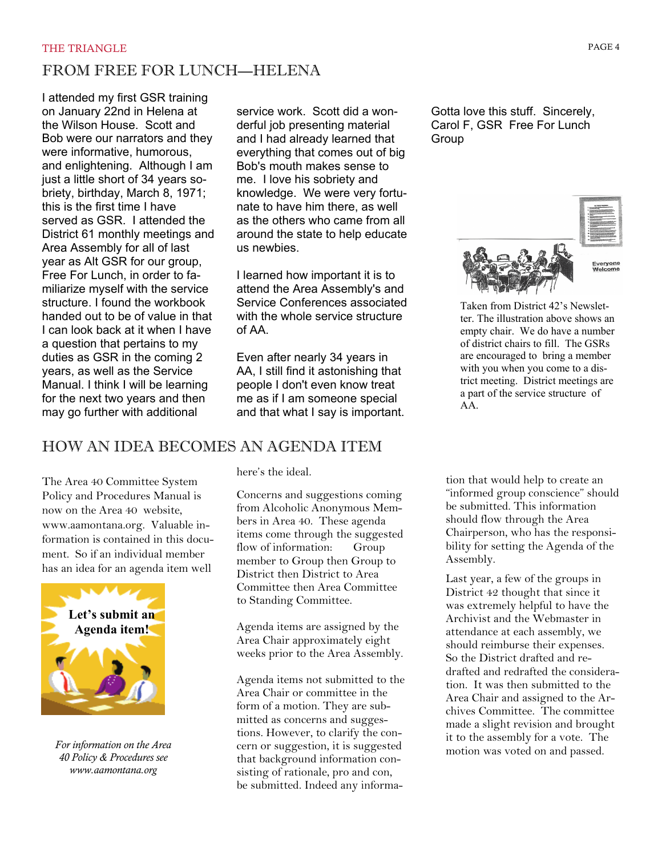# FROM FREE FOR LUNCH—HELENA

I attended my first GSR training on January 22nd in Helena at the Wilson House. Scott and Bob were our narrators and they were informative, humorous, and enlightening. Although I am just a little short of 34 years sobriety, birthday, March 8, 1971; this is the first time I have served as GSR. I attended the District 61 monthly meetings and Area Assembly for all of last year as Alt GSR for our group, Free For Lunch, in order to familiarize myself with the service structure. I found the workbook handed out to be of value in that I can look back at it when I have a question that pertains to my duties as GSR in the coming 2 years, as well as the Service Manual. I think I will be learning for the next two years and then may go further with additional

service work. Scott did a wonderful job presenting material and I had already learned that everything that comes out of big Bob's mouth makes sense to me. I love his sobriety and knowledge. We were very fortunate to have him there, as well as the others who came from all around the state to help educate us newbies.

I learned how important it is to attend the Area Assembly's and Service Conferences associated with the whole service structure of AA.

Even after nearly 34 years in AA, I still find it astonishing that people I don't even know treat me as if I am someone special and that what I say is important.

# HOW AN IDEA BECOMES AN AGENDA ITEM

The Area 40 Committee System Policy and Procedures Manual is now on the Area 40 website, www.aamontana.org. Valuable information is contained in this document. So if an individual member has an idea for an agenda item well



*For information on the Area 40 Policy & Procedures see www.aamontana.org* 

here's the ideal.

Concerns and suggestions coming from Alcoholic Anonymous Members in Area 40. These agenda items come through the suggested flow of information: Group member to Group then Group to District then District to Area Committee then Area Committee to Standing Committee.

Agenda items are assigned by the Area Chair approximately eight weeks prior to the Area Assembly.

Agenda items not submitted to the Area Chair or committee in the form of a motion. They are submitted as concerns and suggestions. However, to clarify the concern or suggestion, it is suggested that background information consisting of rationale, pro and con, be submitted. Indeed any informa-

Gotta love this stuff. Sincerely, Carol F, GSR Free For Lunch Group



Taken from District 42's Newsletter. The illustration above shows an empty chair. We do have a number of district chairs to fill. The GSRs are encouraged to bring a member with you when you come to a district meeting. District meetings are a part of the service structure of AA.

tion that would help to create an "informed group conscience" should be submitted. This information should flow through the Area Chairperson, who has the responsibility for setting the Agenda of the Assembly.

Last year, a few of the groups in District 42 thought that since it was extremely helpful to have the Archivist and the Webmaster in attendance at each assembly, we should reimburse their expenses. So the District drafted and redrafted and redrafted the consideration. It was then submitted to the Area Chair and assigned to the Archives Committee. The committee made a slight revision and brought it to the assembly for a vote. The motion was voted on and passed.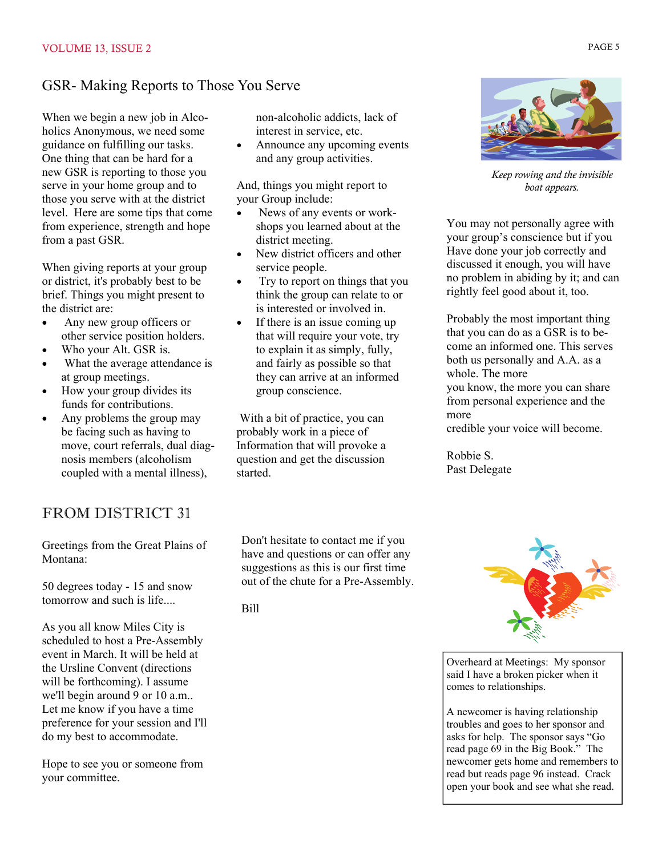## GSR- Making Reports to Those You Serve

When we begin a new job in Alcoholics Anonymous, we need some guidance on fulfilling our tasks. One thing that can be hard for a new GSR is reporting to those you serve in your home group and to those you serve with at the district level. Here are some tips that come from experience, strength and hope from a past GSR.

When giving reports at your group or district, it's probably best to be brief. Things you might present to the district are:

- Any new group officers or other service position holders.
- Who your Alt. GSR is.
- What the average attendance is at group meetings.
- How your group divides its funds for contributions.
- Any problems the group may be facing such as having to move, court referrals, dual diagnosis members (alcoholism coupled with a mental illness),

# FROM DISTRICT 31

Greetings from the Great Plains of Montana:

50 degrees today - 15 and snow tomorrow and such is life....

As you all know Miles City is scheduled to host a Pre-Assembly event in March. It will be held at the Ursline Convent (directions will be forthcoming). I assume we'll begin around 9 or 10 a.m.. Let me know if you have a time preference for your session and I'll do my best to accommodate.

Hope to see you or someone from your committee.

non-alcoholic addicts, lack of interest in service, etc.

• Announce any upcoming events and any group activities.

And, things you might report to your Group include:

- News of any events or workshops you learned about at the district meeting.
- New district officers and other service people.
- Try to report on things that you think the group can relate to or is interested or involved in.
- If there is an issue coming up that will require your vote, try to explain it as simply, fully, and fairly as possible so that they can arrive at an informed group conscience.

 With a bit of practice, you can probably work in a piece of Information that will provoke a question and get the discussion started.

*Keep rowing and the invisible boat appears.* 

You may not personally agree with your group's conscience but if you Have done your job correctly and discussed it enough, you will have no problem in abiding by it; and can rightly feel good about it, too.

Probably the most important thing that you can do as a GSR is to become an informed one. This serves both us personally and A.A. as a whole. The more you know, the more you can share from personal experience and the more credible your voice will become.

Robbie S. Past Delegate

Don't hesitate to contact me if you have and questions or can offer any suggestions as this is our first time out of the chute for a Pre-Assembly.

Bill



Overheard at Meetings: My sponsor said I have a broken picker when it comes to relationships.

A newcomer is having relationship troubles and goes to her sponsor and asks for help. The sponsor says "Go read page 69 in the Big Book." The newcomer gets home and remembers to read but reads page 96 instead. Crack open your book and see what she read.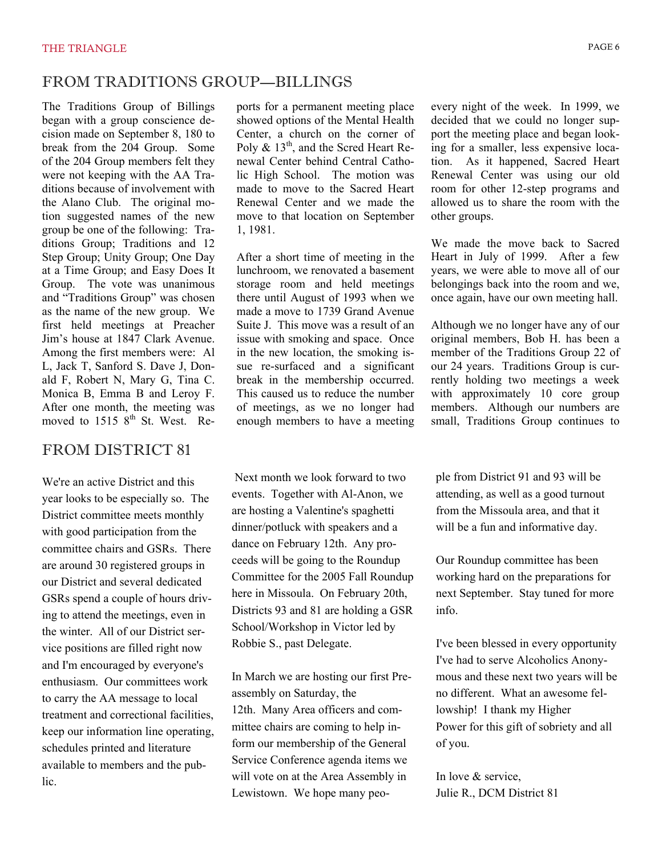#### FROM TRADITIONS GROUP—BILLINGS

The Traditions Group of Billings began with a group conscience decision made on September 8, 180 to break from the 204 Group. Some of the 204 Group members felt they were not keeping with the AA Traditions because of involvement with the Alano Club. The original motion suggested names of the new group be one of the following: Traditions Group; Traditions and 12 Step Group; Unity Group; One Day at a Time Group; and Easy Does It Group. The vote was unanimous and "Traditions Group" was chosen as the name of the new group. We first held meetings at Preacher Jim's house at 1847 Clark Avenue. Among the first members were: Al L, Jack T, Sanford S. Dave J, Donald F, Robert N, Mary G, Tina C. Monica B, Emma B and Leroy F. After one month, the meeting was moved to  $1515 \, 8^{th}$  St. West. Re-

#### FROM DISTRICT 81

We're an active District and this year looks to be especially so. The District committee meets monthly with good participation from the committee chairs and GSRs. There are around 30 registered groups in our District and several dedicated GSRs spend a couple of hours driving to attend the meetings, even in the winter. All of our District service positions are filled right now and I'm encouraged by everyone's enthusiasm. Our committees work to carry the AA message to local treatment and correctional facilities, keep our information line operating, schedules printed and literature available to members and the public.

ports for a permanent meeting place showed options of the Mental Health Center, a church on the corner of Poly  $\&$  13<sup>th</sup>, and the Scred Heart Renewal Center behind Central Catholic High School. The motion was made to move to the Sacred Heart Renewal Center and we made the move to that location on September 1, 1981.

After a short time of meeting in the lunchroom, we renovated a basement storage room and held meetings there until August of 1993 when we made a move to 1739 Grand Avenue Suite J. This move was a result of an issue with smoking and space. Once in the new location, the smoking issue re-surfaced and a significant break in the membership occurred. This caused us to reduce the number of meetings, as we no longer had enough members to have a meeting

 Next month we look forward to two events. Together with Al-Anon, we are hosting a Valentine's spaghetti dinner/potluck with speakers and a dance on February 12th. Any proceeds will be going to the Roundup Committee for the 2005 Fall Roundup here in Missoula. On February 20th, Districts 93 and 81 are holding a GSR School/Workshop in Victor led by Robbie S., past Delegate.

In March we are hosting our first Preassembly on Saturday, the 12th. Many Area officers and committee chairs are coming to help inform our membership of the General Service Conference agenda items we will vote on at the Area Assembly in Lewistown. We hope many peoevery night of the week. In 1999, we decided that we could no longer support the meeting place and began looking for a smaller, less expensive location. As it happened, Sacred Heart Renewal Center was using our old room for other 12-step programs and allowed us to share the room with the other groups.

We made the move back to Sacred Heart in July of 1999. After a few years, we were able to move all of our belongings back into the room and we, once again, have our own meeting hall.

Although we no longer have any of our original members, Bob H. has been a member of the Traditions Group 22 of our 24 years. Traditions Group is currently holding two meetings a week with approximately 10 core group members. Although our numbers are small, Traditions Group continues to

ple from District 91 and 93 will be attending, as well as a good turnout from the Missoula area, and that it will be a fun and informative day.

Our Roundup committee has been working hard on the preparations for next September. Stay tuned for more info.

I've been blessed in every opportunity I've had to serve Alcoholics Anonymous and these next two years will be no different. What an awesome fellowship! I thank my Higher Power for this gift of sobriety and all of you.

In love & service, Julie R., DCM District 81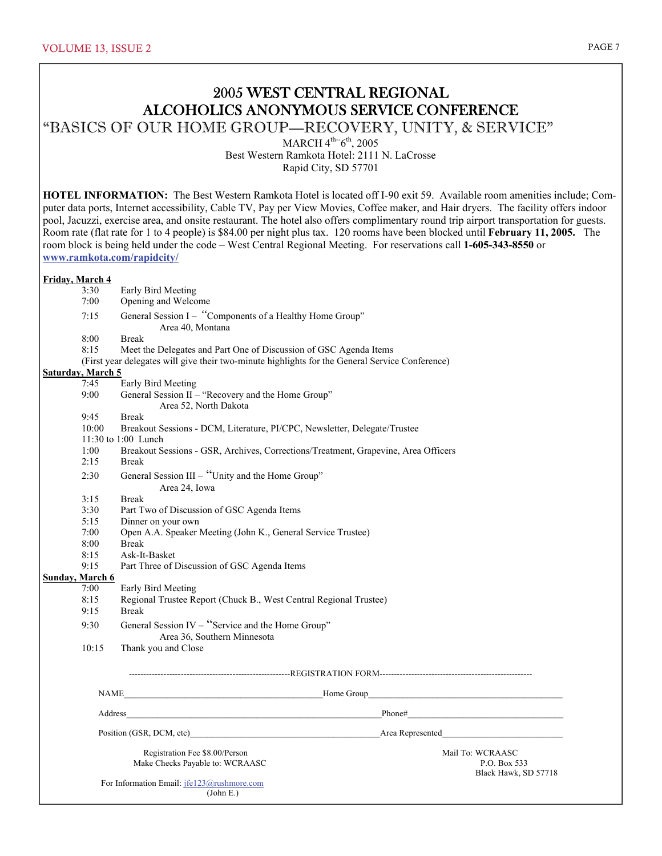## 2005 WEST CENTRAL REGIONAL ALCOHOLICS ANONYMOUS SERVICE CONFERENCE

"BASICS OF OUR HOME GROUP—RECOVERY, UNITY, & SERVICE"

MARCH  $4^{th}$ -6<sup>th</sup>, 2005

Best Western Ramkota Hotel: 2111 N. LaCrosse

Rapid City, SD 57701

**HOTEL INFORMATION:** The Best Western Ramkota Hotel is located off I-90 exit 59. Available room amenities include; Computer data ports, Internet accessibility, Cable TV, Pay per View Movies, Coffee maker, and Hair dryers. The facility offers indoor pool, Jacuzzi, exercise area, and onsite restaurant. The hotel also offers complimentary round trip airport transportation for guests. Room rate (flat rate for 1 to 4 people) is \$84.00 per night plus tax. 120 rooms have been blocked until **February 11, 2005.** The room block is being held under the code – West Central Regional Meeting. For reservations call **1-605-343-8550** or **www.ramkota.com/rapidcity/** 

#### **Friday, March 4**

- 3:30 Early Bird Meeting
- 7:00 Opening and Welcome
- 7:15 General Session I – *"*Components of a Healthy Home Group" Area 40, Montana

8:00 Break

- 8:15 Meet the Delegates and Part One of Discussion of GSC Agenda Items
- (First year delegates will give their two-minute highlights for the General Service Conference)

#### **Saturday, March 5**

- 7:45 Early Bird Meeting
- 9:00 General Session II "Recovery and the Home Group"
- Area 52, North Dakota
- 9:45 Break
- 10:00 Breakout Sessions DCM, Literature, PI/CPC, Newsletter, Delegate/Trustee
- 11:30 to 1:00 Lunch
- 1:00 Breakout Sessions GSR, Archives, Corrections/Treatment, Grapevine, Area Officers
- 2:15 Break
- 2:30 General Session III "Unity and the Home Group"
	- Area 24, Iowa
- 3:15 Break
- 3:30 Part Two of Discussion of GSC Agenda Items
- 5:15 Dinner on your own
- 7:00 Open A.A. Speaker Meeting (John K., General Service Trustee)
- 8:00 Break
- 8:15 Ask-It-Basket
- 9:15 Part Three of Discussion of GSC Agenda Items

#### **Sunday, March 6**

- 7:00 Early Bird Meeting
- 8:15 Regional Trustee Report (Chuck B., West Central Regional Trustee)
- 9:15 Break
	- 9:30 General Session IV "Service and the Home Group" Area 36, Southern Minnesota
	- 10:15 Thank you and Close
		-

--------------------------------------------------------REGISTRATION FORM-----------------------------------------------------

NAME THE RESERVE HOME GROUP

Address\_\_\_\_\_\_\_\_\_\_\_\_\_\_\_\_\_\_\_\_\_\_\_\_\_\_\_\_\_\_\_\_\_\_\_\_\_\_\_\_\_\_\_\_\_\_\_\_\_\_\_\_\_\_\_\_\_\_\_Phone#\_\_\_\_\_\_\_\_\_\_\_\_\_\_\_\_\_\_\_\_\_\_\_\_\_\_\_\_\_\_\_\_\_\_\_\_

Position (GSR, DCM, etc) and the second of the second of the second of the second of the second of the second of the second of the second of the second of the second of the second of the second of the second of the second

Registration Fee \$8.00/Person Mail To: WCRAASC Mail To: WCRAASC Mail To: WCRAASC PARA PARA PARA ASC P.O. Box 533 Make Checks Payable to: WCRAASC

Black Hawk, SD 57718

 For Information Email: jfe123@rushmore.com (John E.)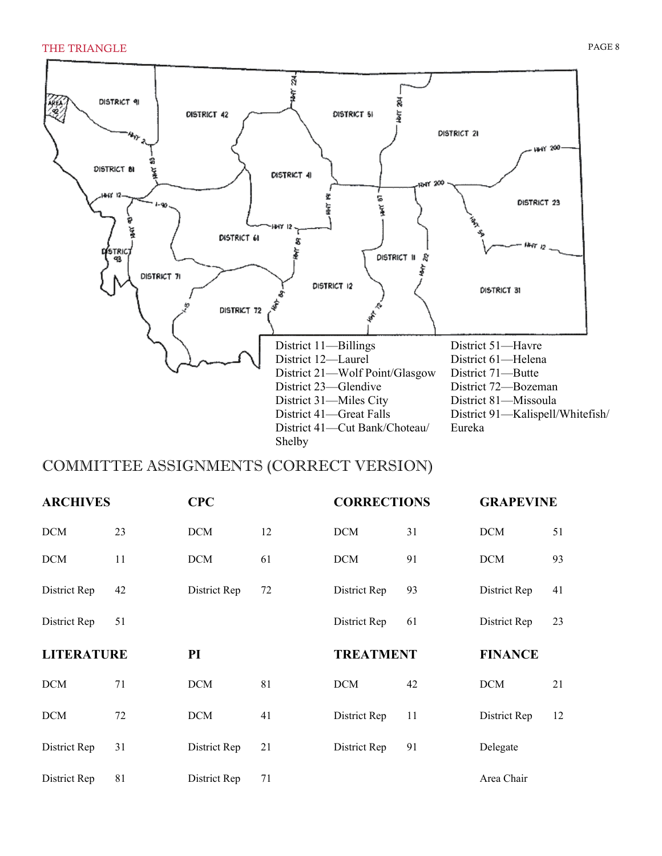

## COMMITTEE ASSIGNMENTS (CORRECT VERSION)

| <b>ARCHIVES</b>   |    | <b>CPC</b><br><b>CORRECTIONS</b> |    |                  | <b>GRAPEVINE</b> |                |    |
|-------------------|----|----------------------------------|----|------------------|------------------|----------------|----|
| <b>DCM</b>        | 23 | <b>DCM</b>                       | 12 | <b>DCM</b>       | 31               | <b>DCM</b>     | 51 |
| <b>DCM</b>        | 11 | <b>DCM</b>                       | 61 | <b>DCM</b>       | 91               | <b>DCM</b>     | 93 |
| District Rep      | 42 | District Rep                     | 72 | District Rep     | 93               | District Rep   | 41 |
| District Rep      | 51 |                                  |    | District Rep     | 61               | District Rep   | 23 |
|                   |    |                                  |    |                  |                  |                |    |
| <b>LITERATURE</b> |    | PI                               |    | <b>TREATMENT</b> |                  | <b>FINANCE</b> |    |
| <b>DCM</b>        | 71 | <b>DCM</b>                       | 81 | <b>DCM</b>       | 42               | <b>DCM</b>     | 21 |
| <b>DCM</b>        | 72 | <b>DCM</b>                       | 41 | District Rep     | 11               | District Rep   | 12 |
| District Rep      | 31 | District Rep                     | 21 | District Rep     | 91               | Delegate       |    |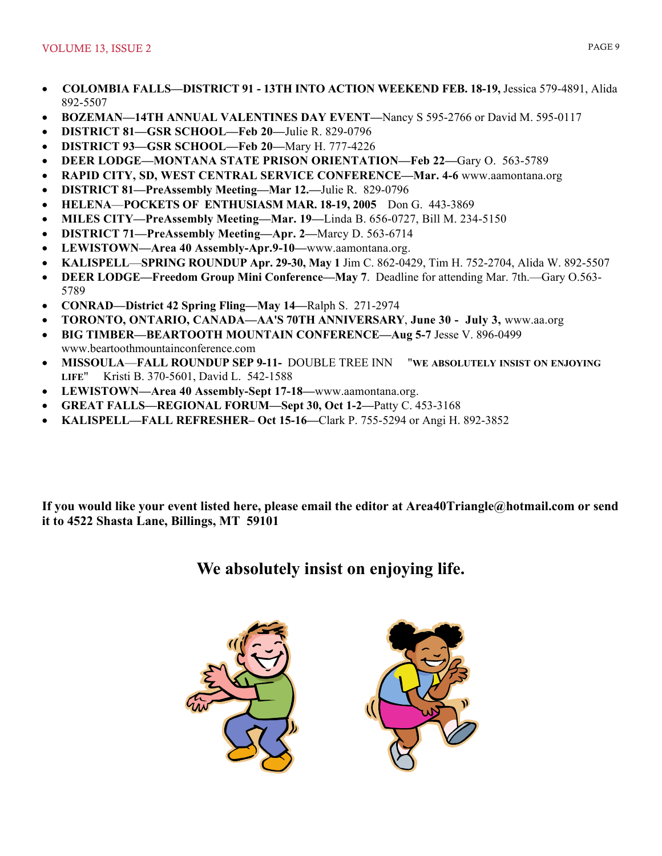- **COLOMBIA FALLS—DISTRICT 91 13TH INTO ACTION WEEKEND FEB. 18-19,** Jessica 579-4891, Alida 892-5507
- **BOZEMAN—14TH ANNUAL VALENTINES DAY EVENT—**Nancy S 595-2766 or David M. 595-0117
- **DISTRICT 81—GSR SCHOOL—Feb 20—**Julie R. 829-0796
- **DISTRICT 93—GSR SCHOOL—Feb 20—**Mary H. 777-4226
- **DEER LODGE—MONTANA STATE PRISON ORIENTATION—Feb 22—**Gary O. 563-5789
- **RAPID CITY, SD, WEST CENTRAL SERVICE CONFERENCE—Mar. 4-6** www.aamontana.org
- **DISTRICT 81—PreAssembly Meeting—Mar 12.—**Julie R. 829-0796
- **HELENA**—**POCKETS OF ENTHUSIASM MAR. 18-19, 2005** Don G. 443-3869
- **MILES CITY—PreAssembly Meeting—Mar. 19—**Linda B. 656-0727, Bill M. 234-5150
- **DISTRICT 71—PreAssembly Meeting—Apr. 2—**Marcy D. 563-6714
- **LEWISTOWN—Area 40 Assembly-Apr.9-10—**www.aamontana.org.
- **KALISPELL**—**SPRING ROUNDUP Apr. 29-30, May 1** Jim C. 862-0429, Tim H. 752-2704, Alida W. 892-5507
- **DEER LODGE—Freedom Group Mini Conference—May 7**. Deadline for attending Mar. 7th.—Gary O.563- 5789
- **CONRAD—District 42 Spring Fling—May 14—**Ralph S. 271-2974
- **TORONTO, ONTARIO, CANADA—AA'S 70TH ANNIVERSARY**, **June 30 July 3,** www.aa.org
- **BIG TIMBER—BEARTOOTH MOUNTAIN CONFERENCE—Aug 5-7** Jesse V. 896-0499 www.beartoothmountainconference.com
- **MISSOULA**—**FALL ROUNDUP SEP 9-11-** DOUBLE TREE INN "**WE ABSOLUTELY INSIST ON ENJOYING LIFE**" Kristi B. 370-5601, David L. 542-1588
- **LEWISTOWN—Area 40 Assembly-Sept 17-18—**www.aamontana.org.
- **GREAT FALLS—REGIONAL FORUM—Sept 30, Oct 1-2—**Patty C. 453-3168
- **KALISPELL—FALL REFRESHER– Oct 15-16—**Clark P. 755-5294 or Angi H. 892-3852

**If you would like your event listed here, please email the editor at Area40Triangle@hotmail.com or send it to 4522 Shasta Lane, Billings, MT 59101** 

# **We absolutely insist on enjoying life.**